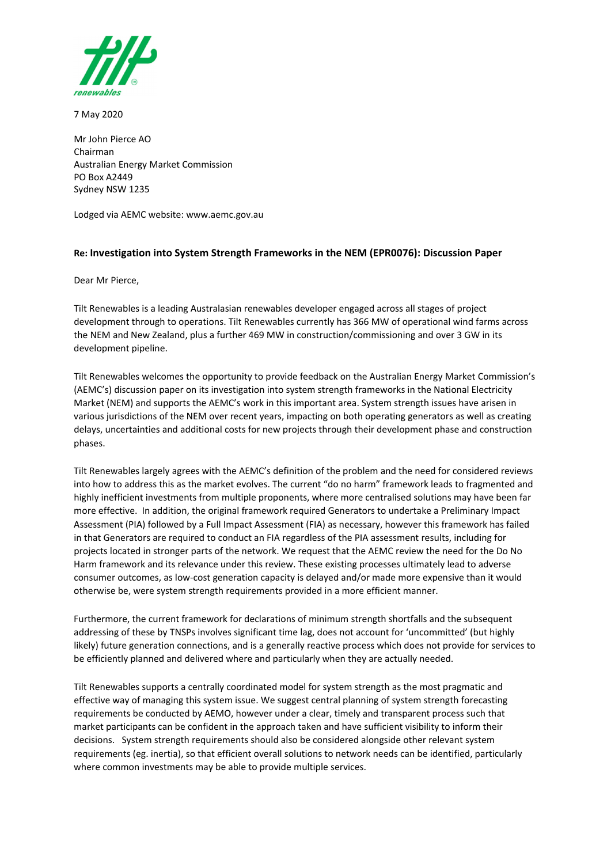

7 May 2020

Mr John Pierce AO Chairman Australian Energy Market Commission PO Box A2449 Sydney NSW 1235

Lodged via AEMC website: www.aemc.gov.au

## **Re: Investigation into System Strength Frameworks in the NEM (EPR0076): Discussion Paper**

Dear Mr Pierce,

Tilt Renewables is a leading Australasian renewables developer engaged across all stages of project development through to operations. Tilt Renewables currently has 366 MW of operational wind farms across the NEM and New Zealand, plus a further 469 MW in construction/commissioning and over 3 GW in its development pipeline.

Tilt Renewables welcomes the opportunity to provide feedback on the Australian Energy Market Commission's (AEMC's) discussion paper on its investigation into system strength frameworks in the National Electricity Market (NEM) and supports the AEMC's work in this important area. System strength issues have arisen in various jurisdictions of the NEM over recent years, impacting on both operating generators as well as creating delays, uncertainties and additional costs for new projects through their development phase and construction phases.

Tilt Renewables largely agrees with the AEMC's definition of the problem and the need for considered reviews into how to address this as the market evolves. The current "do no harm" framework leads to fragmented and highly inefficient investments from multiple proponents, where more centralised solutions may have been far more effective. In addition, the original framework required Generators to undertake a Preliminary Impact Assessment (PIA) followed by a Full Impact Assessment (FIA) as necessary, however this framework has failed in that Generators are required to conduct an FIA regardless of the PIA assessment results, including for projects located in stronger parts of the network. We request that the AEMC review the need for the Do No Harm framework and its relevance under this review. These existing processes ultimately lead to adverse consumer outcomes, as low-cost generation capacity is delayed and/or made more expensive than it would otherwise be, were system strength requirements provided in a more efficient manner.

Furthermore, the current framework for declarations of minimum strength shortfalls and the subsequent addressing of these by TNSPs involves significant time lag, does not account for 'uncommitted' (but highly likely) future generation connections, and is a generally reactive process which does not provide for services to be efficiently planned and delivered where and particularly when they are actually needed.

Tilt Renewables supports a centrally coordinated model for system strength as the most pragmatic and effective way of managing this system issue. We suggest central planning of system strength forecasting requirements be conducted by AEMO, however under a clear, timely and transparent process such that market participants can be confident in the approach taken and have sufficient visibility to inform their decisions. System strength requirements should also be considered alongside other relevant system requirements (eg. inertia), so that efficient overall solutions to network needs can be identified, particularly where common investments may be able to provide multiple services.